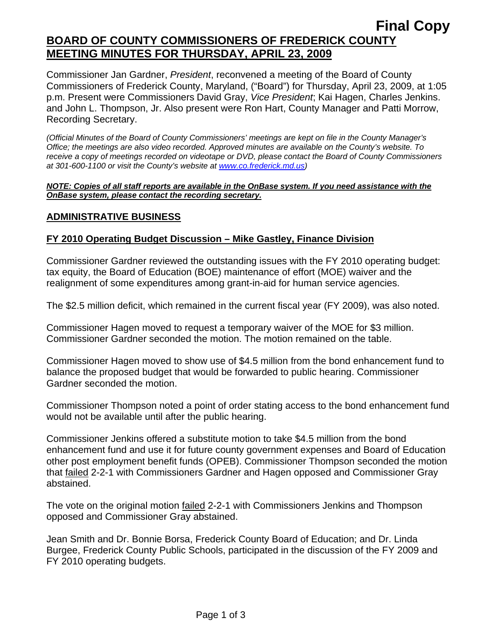# **Final Copy BOARD OF COUNTY COMMISSIONERS OF FREDERICK COUNTY MEETING MINUTES FOR THURSDAY, APRIL 23, 2009**

Commissioner Jan Gardner, *President*, reconvened a meeting of the Board of County Commissioners of Frederick County, Maryland, ("Board") for Thursday, April 23, 2009, at 1:05 p.m. Present were Commissioners David Gray, *Vice President*; Kai Hagen, Charles Jenkins. and John L. Thompson, Jr. Also present were Ron Hart, County Manager and Patti Morrow, Recording Secretary.

*(Official Minutes of the Board of County Commissioners' meetings are kept on file in the County Manager's Office; the meetings are also video recorded. Approved minutes are available on the County's website. To receive a copy of meetings recorded on videotape or DVD, please contact the Board of County Commissioners at 301-600-1100 or visit the County's website at [www.co.frederick.md.us\)](http://www.co.frederick.md.us/)* 

#### *NOTE: Copies of all staff reports are available in the OnBase system. If you need assistance with the OnBase system, please contact the recording secretary.*

## **ADMINISTRATIVE BUSINESS**

## **FY 2010 Operating Budget Discussion – Mike Gastley, Finance Division**

Commissioner Gardner reviewed the outstanding issues with the FY 2010 operating budget: tax equity, the Board of Education (BOE) maintenance of effort (MOE) waiver and the realignment of some expenditures among grant-in-aid for human service agencies.

The \$2.5 million deficit, which remained in the current fiscal year (FY 2009), was also noted.

Commissioner Hagen moved to request a temporary waiver of the MOE for \$3 million. Commissioner Gardner seconded the motion. The motion remained on the table.

Commissioner Hagen moved to show use of \$4.5 million from the bond enhancement fund to balance the proposed budget that would be forwarded to public hearing. Commissioner Gardner seconded the motion.

Commissioner Thompson noted a point of order stating access to the bond enhancement fund would not be available until after the public hearing.

Commissioner Jenkins offered a substitute motion to take \$4.5 million from the bond enhancement fund and use it for future county government expenses and Board of Education other post employment benefit funds (OPEB). Commissioner Thompson seconded the motion that failed 2-2-1 with Commissioners Gardner and Hagen opposed and Commissioner Gray abstained.

The vote on the original motion failed 2-2-1 with Commissioners Jenkins and Thompson opposed and Commissioner Gray abstained.

Jean Smith and Dr. Bonnie Borsa, Frederick County Board of Education; and Dr. Linda Burgee, Frederick County Public Schools, participated in the discussion of the FY 2009 and FY 2010 operating budgets.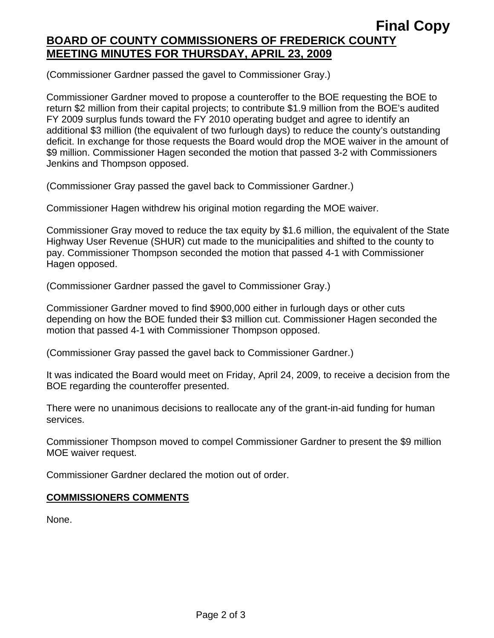(Commissioner Gardner passed the gavel to Commissioner Gray.)

Commissioner Gardner moved to propose a counteroffer to the BOE requesting the BOE to return \$2 million from their capital projects; to contribute \$1.9 million from the BOE's audited FY 2009 surplus funds toward the FY 2010 operating budget and agree to identify an additional \$3 million (the equivalent of two furlough days) to reduce the county's outstanding deficit. In exchange for those requests the Board would drop the MOE waiver in the amount of \$9 million. Commissioner Hagen seconded the motion that passed 3-2 with Commissioners Jenkins and Thompson opposed.

(Commissioner Gray passed the gavel back to Commissioner Gardner.)

Commissioner Hagen withdrew his original motion regarding the MOE waiver.

Commissioner Gray moved to reduce the tax equity by \$1.6 million, the equivalent of the State Highway User Revenue (SHUR) cut made to the municipalities and shifted to the county to pay. Commissioner Thompson seconded the motion that passed 4-1 with Commissioner Hagen opposed.

(Commissioner Gardner passed the gavel to Commissioner Gray.)

Commissioner Gardner moved to find \$900,000 either in furlough days or other cuts depending on how the BOE funded their \$3 million cut. Commissioner Hagen seconded the motion that passed 4-1 with Commissioner Thompson opposed.

(Commissioner Gray passed the gavel back to Commissioner Gardner.)

It was indicated the Board would meet on Friday, April 24, 2009, to receive a decision from the BOE regarding the counteroffer presented.

There were no unanimous decisions to reallocate any of the grant-in-aid funding for human services.

Commissioner Thompson moved to compel Commissioner Gardner to present the \$9 million MOE waiver request.

Commissioner Gardner declared the motion out of order.

# **COMMISSIONERS COMMENTS**

None.